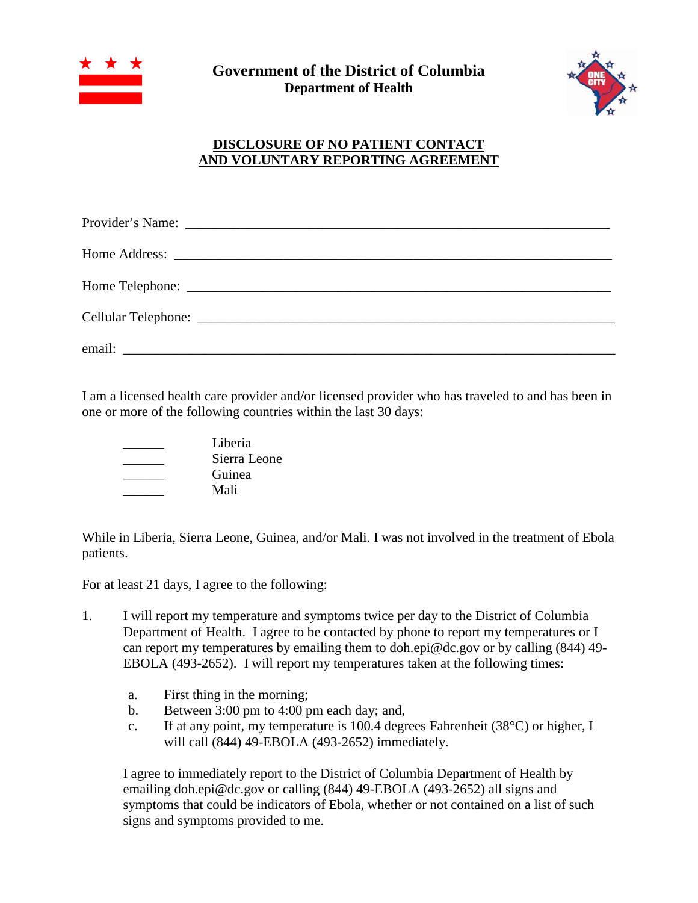



## **DISCLOSURE OF NO PATIENT CONTACT AND VOLUNTARY REPORTING AGREEMENT**

I am a licensed health care provider and/or licensed provider who has traveled to and has been in one or more of the following countries within the last 30 days:

| Liberia      |
|--------------|
| Sierra Leone |
| Guinea       |
| Mali         |

While in Liberia, Sierra Leone, Guinea, and/or Mali. I was not involved in the treatment of Ebola patients.

For at least 21 days, I agree to the following:

- 1. I will report my temperature and symptoms twice per day to the District of Columbia Department of Health. I agree to be contacted by phone to report my temperatures or I can report my temperatures by emailing them to doh.epi@dc.gov or by calling (844) 49- EBOLA (493-2652). I will report my temperatures taken at the following times:
	- a. First thing in the morning;
	- b. Between 3:00 pm to 4:00 pm each day; and,
	- c. If at any point, my temperature is 100.4 degrees Fahrenheit (38°C) or higher, I will call (844) 49-EBOLA (493-2652) immediately.

I agree to immediately report to the District of Columbia Department of Health by emailing doh.epi@dc.gov or calling (844) 49-EBOLA (493-2652) all signs and symptoms that could be indicators of Ebola, whether or not contained on a list of such signs and symptoms provided to me.